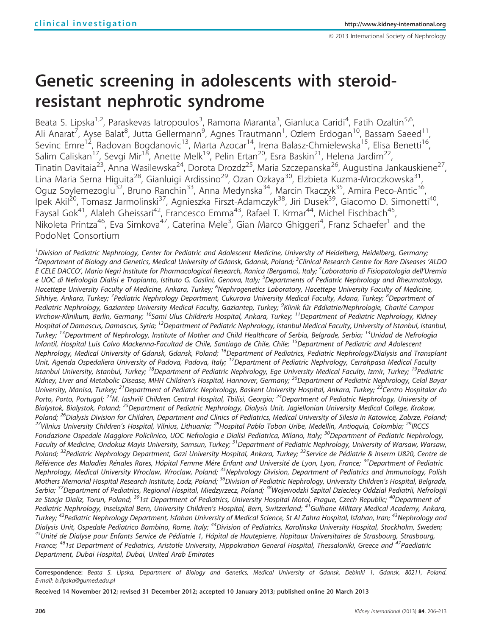# Genetic screening in adolescents with steroidresistant nephrotic syndrome

Beata S. Lipska<sup>1,2</sup>, Paraskevas latropoulos<sup>3</sup>, Ramona Maranta<sup>3</sup>, Gianluca Caridi<sup>4</sup>, Fatih Ozaltin<sup>5,6</sup>, Ali Anarat<sup>7</sup>, Ayse Balat<sup>8</sup>, Jutta Gellermann<sup>9</sup>, Agnes Trautmann<sup>1</sup>, Ozlem Erdogan<sup>10</sup>, Bassam Saeed<sup>11</sup>, Sevinc Emre<sup>12</sup>, Radovan Bogdanovic<sup>13</sup>, Marta Azocar<sup>14</sup>, Irena Balasz-Chmielewska<sup>15</sup>, Elisa Benetti<sup>16</sup>, Salim Caliskan<sup>17</sup>, Sevgi Mir<sup>18</sup>, Anette Melk<sup>19</sup>, Pelin Ertan<sup>20</sup>, Esra Baskin<sup>21</sup>, Helena Jardim<sup>22</sup>, Tinatin Davitaia<sup>23</sup>, Anna Wasilewska<sup>24</sup>, Dorota Drozdz<sup>25</sup>, Maria Szczepanska<sup>26</sup>, Augustina Jankauskiene<sup>27</sup>, Lina Maria Serna Higuita<sup>28</sup>, Gianluigi Ardissino<sup>29</sup>, Ozan Ozkaya<sup>30</sup>, Elzbieta Kuzma-Mroczkowska<sup>31</sup>, Oguz Soylemezoglu<sup>32</sup>, Bruno Ranchin<sup>33</sup>, Anna Medynska<sup>34</sup>, Marcin Tkaczyk<sup>35</sup>, Amira Peco-Antic<sup>36</sup>, Ipek Akil<sup>20</sup>, Tomasz Jarmolinski<sup>37</sup>, Agnieszka Firszt-Adamczyk<sup>38</sup>, Jiri Dusek<sup>39</sup>, Giacomo D. Simonetti<sup>40</sup>, Faysal Gok<sup>41</sup>, Alaleh Gheissari<sup>42</sup>, Francesco Emma<sup>43</sup>, Rafael T. Krmar<sup>44</sup>, Michel Fischbach<sup>45</sup>, Nikoleta Printza<sup>46</sup>, Eva Simkova<sup>47</sup>, Caterina Mele<sup>3</sup>, Gian Marco Ghiggeri<sup>4</sup>, Franz Schaefer<sup>1</sup> and the PodoNet Consortium

<sup>1</sup>Division of Pediatric Nephrology, Center for Pediatric and Adolescent Medicine, University of Heidelberg, Heidelberg, Germany; <sup>2</sup> Department of Biology and Genetics, Medical University of Gdansk, Gdansk, Poland; <sup>3</sup>Clinical Research Centre for Rare Diseases 'ALDO E CELE DACCO', Mario Negri Institute for Pharmacological Research, Ranica (Bergamo), Italy; <sup>4</sup>Laboratorio di Fisiopatologia dell'Uremia e UOC di Nefrologia Dialisi e Trapianto, Istituto G. Gaslini, Genova, Italy; <sup>5</sup>Departments of Pediatric Nephrology and Rheumatology, Hacettepe University Faculty of Medicine, Ankara, Turkey; <sup>6</sup>Nephrogenetics Laboratory, Hacettepe University Faculty of Medicine, Sihhiye, Ankara, Turkey; <sup>7</sup>Pediatric Nephrology Department, Cukurova University Medical Faculty, Adana, Turkey; <sup>8</sup>Department of Pediatric Nephrology, Gaziantep University Medical Faculty, Gaziantep, Turkey; <sup>9</sup>Klinik für Pädiatrie/Nephrologie, Charité Campus Virchow-Klinikum, Berlin, Germany; <sup>10</sup>Sami Ulus Childreńs Hospital, Ankara, Turkey; <sup>11</sup>Department of Pediatric Nephrology, Kidney Hospital of Damascus, Damascus, Syria; <sup>12</sup>Department of Pediatric Nephrology, Istanbul Medical Faculty, University of Istanbul, Istanbul, Turkey; <sup>13</sup>Department of Nephrology, Institute of Mother and Child Healthcare of Serbia, Belgrade, Serbia; <sup>14</sup>Unidad de Nefrología Infantil, Hospital Luis Calvo Mackenna-Facultad de Chile, Santiago de Chile, Chile; <sup>15</sup>Department of Pediatric and Adolescent Nephrology, Medical University of Gdansk, Gdansk, Poland; <sup>16</sup>Department of Pediatrics, Pediatric Nephrology/Dialysis and Transplant Unit, Agenda Ospedaliera University of Padova, Padova, Italy; <sup>17</sup>Department of Pediatric Nephrology, Cerrahpasa Medical Faculty Istanbul University, Istanbul, Turkey; <sup>18</sup>Department of Pediatric Nephrology, Ege University Medical Faculty, Izmir, Turkey; <sup>19</sup>Pediatric Kidney, Liver and Metabolic Disease, MHH Children's Hospital, Hannover, Germany; <sup>20</sup>Department of Pediatric Nephrology, Celal Bayar University, Manisa, Turkey; <sup>21</sup>Department of Pediatric Nephrology, Baskent University Hospital, Ankara, Turkey; <sup>22</sup>Centro Hospitalar do Porto, Porto, Portugal; <sup>23</sup>M. Iashvili Children Central Hospital, Tbilisi, Georgia; <sup>24</sup>Department of Pediatric Nephrology, University of Bialystok, Bialystok, Poland; <sup>25</sup>Department of Pediatric Nephrology, Dialysis Unit, Jagiellonian University Medical College, Krakow, Poland; <sup>26</sup>Dialysis Division for Children, Department and Clinics of Pediatrics, Medical University of Silesia in Katowice, Zabrze, Poland;<br><sup>27</sup>Vilnius University Children's Hospital, Vilnius, Lithuania; <sup>28</sup>Hospital Pabl Fondazione Ospedale Maggiore Policlinico, UOC Nefrologia e Dialisi Pediatrica, Milano, Italy; <sup>30</sup>Department of Pediatric Nephrology, Faculty of Medicine, Ondokuz Mayis University, Samsun, Turkey; <sup>31</sup>Department of Pediatric Nephrology, University of Warsaw, Warsaw, Poland; <sup>32</sup>Pediatric Nephrology Department, Gazi University Hospital, Ankara, Turkey; <sup>33</sup>Service de Pédiatrie & Inserm U820, Centre de Référence des Maladies Rénales Rares, Hôpital Femme Mère Enfant and Université de Lyon, Lyon, France; <sup>34</sup>Department of Pediatric Nephrology, Medical University Wroclaw, Wroclaw, Poland; <sup>35</sup>Nephrology Division, Department of Pediatrics and Immunology, Polish Mothers Memorial Hospital Research Institute, Lodz, Poland; <sup>36</sup>Division of Pediatric Nephrology, University Children's Hospital, Belgrade, Serbia; <sup>37</sup>Department of Pediatrics, Regional Hospital, Miedzyrzecz, Poland; <sup>38</sup>Wojewodzki Szpital Dzieciecy Oddzial Pediatrii, Nefrologii ze Stacja Dializ, Torun, Poland; <sup>39</sup>1st Department of Pediatrics, University Hospital Motol, Prague, Czech Republic; <sup>40</sup>Department of Pediatric Nephrology, Inselspital Bern, University Children's Hospital, Bern, Switzerland; <sup>41</sup>Gulhane Military Medical Academy, Ankara, Turkey; <sup>42</sup>Pediatric Nephrology Department, Isfahan University of Medical Science, St Al Zahra Hospital, Isfahan, Iran; <sup>43</sup>Nephrology and Dialysis Unit, Ospedale Pediatrico Bambino, Rome, Italy; <sup>44</sup>Division of Pediatrics, Karolinska University Hospital, Stockholm, Sweden;<br><sup>45</sup>Unité de Dialyse pour Enfants Service de Pédiatrie 1, Hôpital de Hautepierre, Hopi France; <sup>46</sup>1st Department of Pediatrics, Aristotle University, Hippokration General Hospital, Thessaloniki, Greece and <sup>47</sup>Paediatric Department, Dubai Hospital, Dubai, United Arab Emirates

Correspondence: Beata S. Lipska, Department of Biology and Genetics, Medical University of Gdansk, Debinki 1, Gdansk, 80211, Poland. E-mail: [b.lipska@gumed.edu.pl](mailto:b.lipska@gumed.edu.pl)

Received 14 November 2012; revised 31 December 2012; accepted 10 January 2013; published online 20 March 2013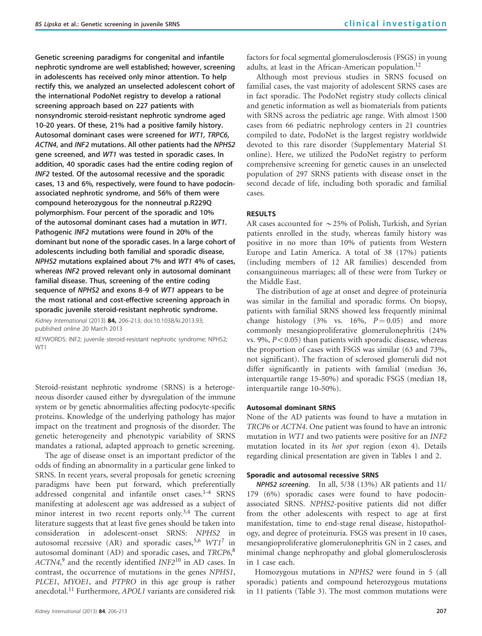Genetic screening paradigms for congenital and infantile nephrotic syndrome are well established; however, screening in adolescents has received only minor attention. To help rectify this, we analyzed an unselected adolescent cohort of the international PodoNet registry to develop a rational screening approach based on 227 patients with nonsyndromic steroid-resistant nephrotic syndrome aged 10–20 years. Of these, 21% had a positive family history. Autosomal dominant cases were screened for WT1, TRPC6, ACTN4, and INF2 mutations. All other patients had the NPHS2 gene screened, and WT1 was tested in sporadic cases. In addition, 40 sporadic cases had the entire coding region of INF2 tested. Of the autosomal recessive and the sporadic cases, 13 and 6%, respectively, were found to have podocinassociated nephrotic syndrome, and 56% of them were compound heterozygous for the nonneutral p.R229Q polymorphism. Four percent of the sporadic and 10% of the autosomal dominant cases had a mutation in WT1. Pathogenic INF2 mutations were found in 20% of the dominant but none of the sporadic cases. In a large cohort of adolescents including both familial and sporadic disease, NPHS2 mutations explained about 7% and WT1 4% of cases, whereas INF2 proved relevant only in autosomal dominant familial disease. Thus, screening of the entire coding sequence of NPHS2 and exons 8–9 of WT1 appears to be the most rational and cost-effective screening approach in sporadic juvenile steroid-resistant nephrotic syndrome.

Kidney International (2013) 84, 206-213; doi[:10.1038/ki.2013.93](http://dx.doi.org/10.1038/ki.2013.93); published online 20 March 2013

KEYWORDS: INF2; juvenile steroid-resistant nephrotic syndrome; NPHS2; WT<sub>1</sub>

Steroid-resistant nephrotic syndrome (SRNS) is a heterogeneous disorder caused either by dysregulation of the immune system or by genetic abnormalities affecting podocyte-specific proteins. Knowledge of the underlying pathology has major impact on the treatment and prognosis of the disorder. The genetic heterogeneity and phenotypic variability of SRNS mandates a rational, adapted approach to genetic screening.

The age of disease onset is an important predictor of the odds of finding an abnormality in a particular gene linked to SRNS. In recent years, several proposals for genetic screening paradigms have been put forward, which preferentially addressed congenital and infantile onset cases. $1-4$  SRNS manifesting at adolescent age was addressed as a subject of minor interest in two recent reports only.<sup>[3,4](#page-6-0)</sup> The current literature suggests that at least five genes should be taken into consideration in adolescent-onset SRNS: NPHS2 in autosomal recessive  $(AR)$  and sporadic cases,<sup>[5,6](#page-7-0)</sup>  $WT1^7$  $WT1^7$  in autosomal dominant (AD) and sporadic cases, and TRCP6,[8](#page-7-0)  $ACTN4<sup>9</sup>$  $ACTN4<sup>9</sup>$  $ACTN4<sup>9</sup>$  and the recently identified  $INF2<sup>10</sup>$  $INF2<sup>10</sup>$  $INF2<sup>10</sup>$  in AD cases. In contrast, the occurrence of mutations in the genes NPHS1, PLCE1, MYOE1, and PTPRO in this age group is rather anecdotal.<sup>[11](#page-7-0)</sup> Furthermore, APOL1 variants are considered risk factors for focal segmental glomerulosclerosis (FSGS) in young adults, at least in the African-American population.<sup>[12](#page-7-0)</sup>

Although most previous studies in SRNS focused on familial cases, the vast majority of adolescent SRNS cases are in fact sporadic. The PodoNet registry study collects clinical and genetic information as well as biomaterials from patients with SRNS across the pediatric age range. With almost 1500 cases from 66 pediatric nephrology centers in 21 countries compiled to date, PodoNet is the largest registry worldwide devoted to this rare disorder (Supplementary Material S1 online). Here, we utilized the PodoNet registry to perform comprehensive screening for genetic causes in an unselected population of 297 SRNS patients with disease onset in the second decade of life, including both sporadic and familial cases.

## RESULTS

AR cases accounted for  $\sim$  25% of Polish, Turkish, and Syrian patients enrolled in the study, whereas family history was positive in no more than 10% of patients from Western Europe and Latin America. A total of 38 (17%) patients (including members of 12 AR families) descended from consanguineous marriages; all of these were from Turkey or the Middle East.

The distribution of age at onset and degree of proteinuria was similar in the familial and sporadic forms. On biopsy, patients with familial SRNS showed less frequently minimal change histology (3% vs. 16%,  $P = 0.05$ ) and more commonly mesangioproliferative glomerulonephritis (24% vs. 9%,  $P < 0.05$ ) than patients with sporadic disease, whereas the proportion of cases with FSGS was similar (63 and 73%, not significant). The fraction of sclerosed glomeruli did not differ significantly in patients with familial (median 36, interquartile range 15–50%) and sporadic FSGS (median 18, interquartile range 10–50%).

# Autosomal dominant SRNS

None of the AD patients was found to have a mutation in TRCP6 or ACTN4. One patient was found to have an intronic mutation in WT1 and two patients were positive for an INF2 mutation located in its hot spot region (exon 4). Details regarding clinical presentation are given in [Tables 1 and 2](#page-2-0).

#### Sporadic and autosomal recessive SRNS

NPHS2 screening. In all, 5/38 (13%) AR patients and 11/ 179 (6%) sporadic cases were found to have podocinassociated SRNS. NPHS2-positive patients did not differ from the other adolescents with respect to age at first manifestation, time to end-stage renal disease, histopathology, and degree of proteinuria. FSGS was present in 10 cases, mesangioproliferative glomerulonephritis GN in 2 cases, and minimal change nephropathy and global glomerulosclerosis in 1 case each.

Homozygous mutations in NPHS2 were found in 5 (all sporadic) patients and compound heterozygous mutations in 11 patients [\(Table 3\)](#page-3-0). The most common mutations were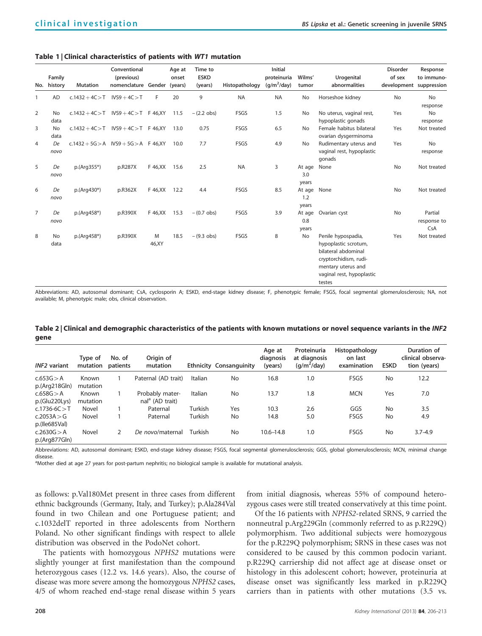### <span id="page-2-0"></span>Table 1 | Clinical characteristics of patients with WT1 mutation

| No.            | Family<br>history | <b>Mutation</b>                         | Conventional<br>(previous)<br>nomenclature Gender |             | Age at<br>onset<br>(years) | Time to<br><b>ESKD</b><br>(years) | Histopathology | <b>Initial</b><br>proteinuria<br>$(q/m^2/day)$ | Wilms'<br>tumor             | Urogenital<br>abnormalities                                                                                                                             | <b>Disorder</b><br>of sex<br>development suppression | Response<br>to immuno-        |
|----------------|-------------------|-----------------------------------------|---------------------------------------------------|-------------|----------------------------|-----------------------------------|----------------|------------------------------------------------|-----------------------------|---------------------------------------------------------------------------------------------------------------------------------------------------------|------------------------------------------------------|-------------------------------|
| $\mathbf{1}$   | AD                | $c.1432 + 4C > T$ IVS9 + 4C > T         |                                                   | F           | 20                         | 9                                 | <b>NA</b>      | <b>NA</b>                                      | No                          | Horseshoe kidney                                                                                                                                        | No                                                   | <b>No</b><br>response         |
| 2              | <b>No</b><br>data | $c.1432 + 4C > T$ IVS9 + 4C > T F 46.XY |                                                   |             | 11.5                       | $-(2.2 \text{ obs})$              | <b>FSGS</b>    | 1.5                                            | No                          | No uterus, vaginal rest,<br>hypoplastic gonads                                                                                                          | Yes                                                  | <b>No</b><br>response         |
| 3              | <b>No</b><br>data | $c.1432 + 4C > T$ IVS9 + 4C > T F 46,XY |                                                   |             | 13.0                       | 0.75                              | FSGS           | 6.5                                            | <b>No</b>                   | Female habitus bilateral<br>ovarian dysgerminoma                                                                                                        | Yes                                                  | Not treated                   |
| $\overline{4}$ | De<br>novo        | $c.1432 + 5G > A$ IVS9 + 5G > A F 46.XY |                                                   |             | 10.0                       | 7.7                               | FSGS           | 4.9                                            | <b>No</b>                   | Rudimentary uterus and<br>vaginal rest, hypoplastic<br>gonads                                                                                           | Yes                                                  | <b>No</b><br>response         |
| 5              | De<br>novo        | $p.(Arg355*)$                           | p.R287X                                           | F 46, XX    | 15.6                       | 2.5                               | <b>NA</b>      | 3                                              | At age None<br>3.0<br>years |                                                                                                                                                         | No                                                   | Not treated                   |
| 6              | De<br>novo        | p.(Arg430*)                             | p.R362X                                           | F 46, XX    | 12.2                       | 4.4                               | FSGS           | 8.5                                            | At age<br>1.2<br>years      | None                                                                                                                                                    | No                                                   | Not treated                   |
| $\overline{7}$ | De<br>novo        | $p.(Arg458*)$                           | p.R390X                                           | F 46, XX    | 15.3                       | $-(0.7 \text{ obs})$              | <b>FSGS</b>    | 3.9                                            | At age<br>0.8<br>years      | Ovarian cyst                                                                                                                                            | No                                                   | Partial<br>response to<br>CsA |
| 8              | No<br>data        | p.(Arg458*)                             | p.R390X                                           | M<br>46, XY | 18.5                       | $-(9.3 \text{ obs})$              | <b>FSGS</b>    | 8                                              | No                          | Penile hypospadia,<br>hypoplastic scrotum,<br>bilateral abdominal<br>cryptorchidism, rudi-<br>mentary uterus and<br>vaginal rest, hypoplastic<br>testes | Yes                                                  | Not treated                   |

Abbreviations: AD, autosomal dominant; CsA, cyclosporin A; ESKD, end-stage kidney disease; F, phenotypic female; FSGS, focal segmental glomerulosclerosis; NA, not available; M, phenotypic male; obs, clinical observation.

Table 2 | Clinical and demographic characteristics of the patients with known mutations or novel sequence variants in the INF2 gene

| <b>INF2</b> variant          | Tvpe of<br>mutation | No. of<br>patients | Origin of<br>mutation                          |         | <b>Ethnicity Consanguinity</b> | Age at<br>diagnosis<br>(years) | Proteinuria<br>at diagnosis<br>$(q/m^2/day)$ | Histopathology<br>on last<br>examination | <b>ESKD</b> | Duration of<br>clinical observa-<br>tion (years) |
|------------------------------|---------------------|--------------------|------------------------------------------------|---------|--------------------------------|--------------------------------|----------------------------------------------|------------------------------------------|-------------|--------------------------------------------------|
| c.653G > A<br>p.(Arg218Gln)  | Known<br>mutation   |                    | Paternal (AD trait)                            | Italian | No                             | 16.8                           | 1.0                                          | FSGS                                     | No          | 12.2                                             |
| c.658G > A<br>p.(Glu220Lys)  | Known<br>mutation   |                    | Probably mater-<br>nal <sup>a</sup> (AD trait) | Italian | No                             | 13.7                           | 1.8                                          | <b>MCN</b>                               | Yes         | 7.0                                              |
| $c.1736 - 6C > T$            | Novel               |                    | Paternal                                       | Turkish | Yes                            | 10.3                           | 2.6                                          | GGS                                      | No          | 3.5                                              |
| c.2053A > G<br>p.( le685Val) | Novel               |                    | Paternal                                       | Turkish | No                             | 14.8                           | 5.0                                          | FSGS                                     | No          | 4.9                                              |
| c.2630G > A<br>p.(Arg877Gln) | Novel               | 2                  | De novo/maternal                               | Turkish | No                             | $10.6 - 14.8$                  | 1.0                                          | FSGS                                     | <b>No</b>   | $3.7 - 4.9$                                      |

Abbreviations: AD, autosomal dominant; ESKD, end-stage kidney disease; FSGS, focal segmental glomerulosclerosis; GGS, global glomerulosclerosis; MCN, minimal change disease.

aMother died at age 27 years for post-partum nephritis; no biological sample is available for mutational analysis.

as follows: p.Val180Met present in three cases from different ethnic backgrounds (Germany, Italy, and Turkey); p.Ala284Val found in two Chilean and one Portuguese patient; and c.1032delT reported in three adolescents from Northern Poland. No other significant findings with respect to allele distribution was observed in the PodoNet cohort.

The patients with homozygous NPHS2 mutations were slightly younger at first manifestation than the compound heterozygous cases (12.2 vs. 14.6 years). Also, the course of disease was more severe among the homozygous NPHS2 cases, 4/5 of whom reached end-stage renal disease within 5 years

from initial diagnosis, whereas 55% of compound heterozygous cases were still treated conservatively at this time point.

Of the 16 patients with NPHS2-related SRNS, 9 carried the nonneutral p.Arg229Gln (commonly referred to as p.R229Q) polymorphism. Two additional subjects were homozygous for the p.R229Q polymorphism; SRNS in these cases was not considered to be caused by this common podocin variant. p.R229Q carriership did not affect age at disease onset or histology in this adolescent cohort; however, proteinuria at disease onset was significantly less marked in p.R229Q carriers than in patients with other mutations (3.5 vs.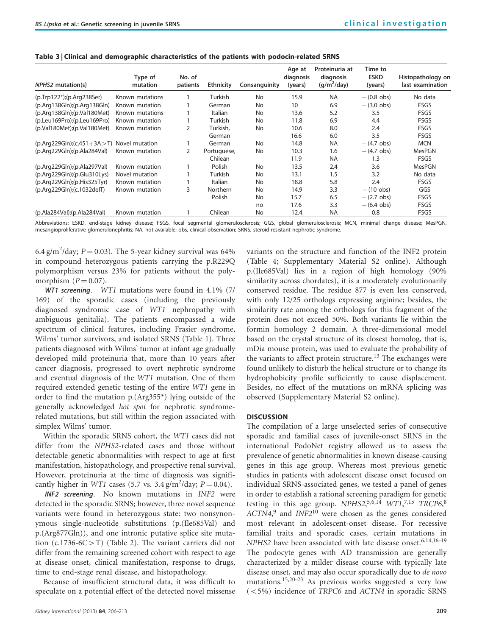| <b>NPHS2</b> mutation(s)                    | Type of<br>mutation | No. of<br>patients | <b>Ethnicity</b> | Consanguinity | Age at<br>diagnosis<br>(years) | Proteinuria at<br>diagnosis<br>$(q/m^2/day)$ | Time to<br><b>ESKD</b><br>(years) | Histopathology on<br>last examination |
|---------------------------------------------|---------------------|--------------------|------------------|---------------|--------------------------------|----------------------------------------------|-----------------------------------|---------------------------------------|
| (p.Trp122*);(p.Arg238Ser)                   | Known mutations     |                    | Turkish          | No            | 15.9                           | <b>NA</b>                                    | $-$ (0.8 obs)                     | No data                               |
| (p. Arg138Gln); (p. Arg138Gln)              | Known mutation      |                    | German           | No            | 10                             | 6.9                                          | $-$ (3.0 obs)                     | <b>FSGS</b>                           |
| (p. Arg138Gln); (p. Val180Met)              | Known mutations     |                    | Italian          | No            | 13.6                           | 5.2                                          | 3.5                               | <b>FSGS</b>                           |
| (p.Leu169Pro);(p.Leu169Pro)                 | Known mutation      |                    | Turkish          | No            | 11.8                           | 6.9                                          | 4.4                               | <b>FSGS</b>                           |
| (p.Va1180Met); (p.Va1180Met)                | Known mutation      | 2                  | Turkish,         | No            | 10.6                           | 8.0                                          | 2.4                               | <b>FSGS</b>                           |
|                                             |                     |                    | German           |               | 16.6                           | 6.0                                          | 3.5                               | <b>FSGS</b>                           |
| (p.Arg229Gln);(c.451+3A > T) Novel mutation |                     |                    | German           | No            | 14.8                           | <b>NA</b>                                    | $-$ (4.7 obs)                     | <b>MCN</b>                            |
| (p.Arg229Gln); (p.Ala284Val)                | Known mutation      | 2                  | Portuguese,      | No            | 10.3                           | 1.6                                          | $-$ (4.7 obs)                     | <b>MesPGN</b>                         |
|                                             |                     |                    | Chilean          |               | 11.9                           | <b>NA</b>                                    | 1.3                               | <b>FSGS</b>                           |
| (p.Arg229Gln); (p.Ala297Val)                | Known mutation      |                    | Polish           | No            | 13.5                           | 2.4                                          | 3.6                               | <b>MesPGN</b>                         |
| $(p. Arg229Gln)$ ; $(p.Glu310Lys)$          | Novel mutation      |                    | Turkish          | No            | 13.1                           | 1.5                                          | 3.2                               | No data                               |
| $(p.Arq229Gln)$ ; $(p.His325Tyr)$           | Known mutation      |                    | Italian          | No            | 18.8                           | 5.8                                          | 2.4                               | <b>FSGS</b>                           |
| (p.Arg229Gln);(c.1032delT)                  | Known mutation      | 3                  | <b>Northern</b>  | No            | 14.9                           | 3.3                                          | $- (10$ obs)                      | GGS                                   |
|                                             |                     |                    | Polish           | No            | 15.7                           | 6.5                                          | $-(2.7 \text{ obs})$              | <b>FSGS</b>                           |
|                                             |                     |                    |                  | no            | 17.6                           | 3.3                                          | $- (6.4 \text{ obs})$             | <b>FSGS</b>                           |
| (p.Ala284Val);(p.Ala284Val)                 | Known mutation      |                    | Chilean          | No            | 12.4                           | <b>NA</b>                                    | 0.8                               | <b>FSGS</b>                           |

<span id="page-3-0"></span>Table 3 | Clinical and demographic characteristics of the patients with podocin-related SRNS

Abbreviations: ESKD, end-stage kidney disease; FSGS, focal segmental glomerulosclerosis; GGS, global glomerulosclerosis; MCN, minimal change disease; MesPGN, mesangioproliferative glomerulonephritis; NA, not available; obs, clinical observation; SRNS, steroid-resistant nephrotic syndrome.

6.4 g/m<sup>2</sup>/day;  $P = 0.03$ ). The 5-year kidney survival was 64% in compound heterozygous patients carrying the p.R229Q polymorphism versus 23% for patients without the polymorphism  $(P = 0.07)$ .

WT1 screening. WT1 mutations were found in 4.1% (7/ 169) of the sporadic cases (including the previously diagnosed syndromic case of WT1 nephropathy with ambiguous genitalia). The patients encompassed a wide spectrum of clinical features, including Frasier syndrome, Wilms' tumor survivors, and isolated SRNS [\(Table 1](#page-2-0)). Three patients diagnosed with Wilms' tumor at infant age gradually developed mild proteinuria that, more than 10 years after cancer diagnosis, progressed to overt nephrotic syndrome and eventual diagnosis of the WT1 mutation. One of them required extended genetic testing of the entire WT1 gene in order to find the mutation p.(Arg355\*) lying outside of the generally acknowledged hot spot for nephrotic syndromerelated mutations, but still within the region associated with simplex Wilms' tumor.

Within the sporadic SRNS cohort, the WT1 cases did not differ from the NPHS2-related cases and those without detectable genetic abnormalities with respect to age at first manifestation, histopathology, and prospective renal survival. However, proteinuria at the time of diagnosis was significantly higher in WT1 cases (5.7 vs.  $3.4 \text{ g/m}^2/\text{day}$ ;  $P = 0.04$ ).

INF2 screening. No known mutations in INF2 were detected in the sporadic SRNS; however, three novel sequence variants were found in heterozygous state: two nonsynonymous single-nucleotide substitutions (p.(Ile685Val) and p.(Arg877Gln)), and one intronic putative splice site mutation  $(c.1736-6C>T)$  [\(Table 2\)](#page-2-0). The variant carriers did not differ from the remaining screened cohort with respect to age at disease onset, clinical manifestation, response to drugs, time to end-stage renal disease, and histopathology.

Because of insufficient structural data, it was difficult to speculate on a potential effect of the detected novel missense

variants on the structure and function of the INF2 protein ([Table 4;](#page-4-0) Supplementary Material S2 online). Although p.(Ile685Val) lies in a region of high homology (90% similarity across chordates), it is a moderately evolutionarily conserved residue. The residue 877 is even less conserved, with only 12/25 orthologs expressing arginine; besides, the similarity rate among the orthologs for this fragment of the protein does not exceed 50%. Both variants lie within the formin homology 2 domain. A three-dimensional model based on the crystal structure of its closest homolog, that is, mDia mouse protein, was used to evaluate the probability of the variants to affect protein structure.<sup>[13](#page-7-0)</sup> The exchanges were found unlikely to disturb the helical structure or to change its hydrophobicity profile sufficiently to cause displacement. Besides, no effect of the mutations on mRNA splicing was observed (Supplementary Material S2 online).

# **DISCUSSION**

The compilation of a large unselected series of consecutive sporadic and familial cases of juvenile-onset SRNS in the international PodoNet registry allowed us to assess the prevalence of genetic abnormalities in known disease-causing genes in this age group. Whereas most previous genetic studies in patients with adolescent disease onset focused on individual SRNS-associated genes, we tested a panel of genes in order to establish a rational screening paradigm for genetic testing in this age group.  $NPHS2, ^{5,6,14}$  $NPHS2, ^{5,6,14}$  $NPHS2, ^{5,6,14}$   $WT1, ^{7,15}$  $WT1, ^{7,15}$  $WT1, ^{7,15}$   $TRCP6, ^8$  $TRCP6, ^8$  $ACTN4<sup>9</sup>$  $ACTN4<sup>9</sup>$  $ACTN4<sup>9</sup>$  and  $INF2<sup>10</sup>$  $INF2<sup>10</sup>$  $INF2<sup>10</sup>$  were chosen as the genes considered most relevant in adolescent-onset disease. For recessive familial traits and sporadic cases, certain mutations in  $NPHS2$  have been associated with late disease onset.<sup>[6,14,16–19](#page-7-0)</sup> The podocyte genes with AD transmission are generally characterized by a milder disease course with typically late disease onset, and may also occur sporadically due to de novo mutations.[15,20–23](#page-7-0) As previous works suggested a very low  $(<5%)$  incidence of TRPC6 and ACTN4 in sporadic SRNS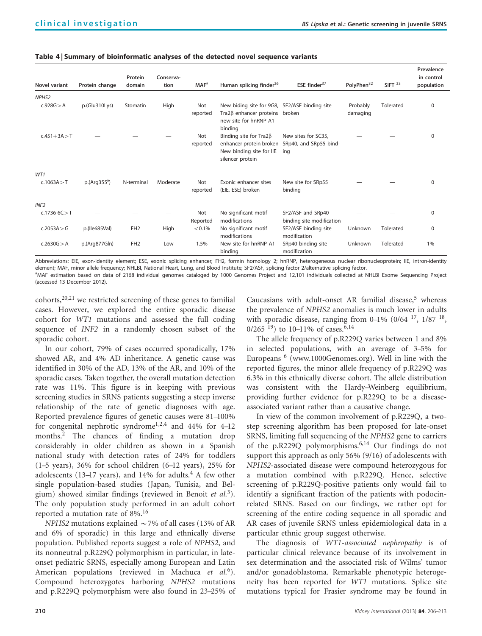<span id="page-4-0"></span>

| Novel variant     | Protein change | Protein<br>domain | Conserva-<br>tion | MAF <sup>a</sup> | Human splicing finder <sup>36</sup>                                                                                 | ESE finder $37$                                                              | PolyPhen <sup>32</sup> | $SIFT$ <sup>33</sup> | Prevalence<br>in control<br>population |
|-------------------|----------------|-------------------|-------------------|------------------|---------------------------------------------------------------------------------------------------------------------|------------------------------------------------------------------------------|------------------------|----------------------|----------------------------------------|
| NPHS <sub>2</sub> |                |                   |                   |                  |                                                                                                                     |                                                                              |                        |                      |                                        |
| c.928G > A        | p.(Glu310Lys)  | Stomatin          | High              | Not<br>reported  | New biding site for 9G8, SF2/ASF binding site<br>Tra2ß enhancer proteins broken<br>new site for hnRNP A1<br>binding |                                                                              | Probably<br>damaging   | Tolerated            | $\mathbf 0$                            |
| $c.451 + 3A > T$  |                |                   |                   | Not<br>reported  | Binding site for $Tra2\beta$<br>New binding site for IIE<br>silencer protein                                        | New sites for SC35,<br>enhancer protein broken SRp40, and SRp55 bind-<br>ing |                        |                      | $\Omega$                               |
| WT1               |                |                   |                   |                  |                                                                                                                     |                                                                              |                        |                      |                                        |
| c.1063A > T       | $p.(Arg355^a)$ | N-terminal        | Moderate          | Not<br>reported  | Exonic enhancer sites<br>(EIE, ESE) broken                                                                          | New site for SRp55<br>binding                                                |                        |                      | $\Omega$                               |
| INF <sub>2</sub>  |                |                   |                   |                  |                                                                                                                     |                                                                              |                        |                      |                                        |
| $c.1736-6C > T$   |                |                   |                   | Not<br>Reported  | No significant motif<br>modifications                                                                               | SF2/ASF and SRp40<br>binding site modification                               |                        |                      | $\Omega$                               |
| c.2053A > G       | p.( le685Val)  | FH <sub>2</sub>   | High              | < 0.1%           | No significant motif<br>modifications                                                                               | SF2/ASF binding site<br>modification                                         | Unknown                | Tolerated            | $\Omega$                               |
| c.2630G > A       | p.(Arg877Gln)  | FH <sub>2</sub>   | Low               | 1.5%             | New site for hnRNP A1<br>binding                                                                                    | SRp40 binding site<br>modification                                           | Unknown                | Tolerated            | 1%                                     |

Abbreviations: EIE, exon-identity element; ESE, exonic splicing enhancer; FH2, formin homology 2; hnRNP, heterogeneous nuclear ribonucleoprotein; IIE, intron-identity element; MAF, minor allele frequency; NHLBI, National Heart, Lung, and Blood Institute; SF2/ASF, splicing factor 2/alternative splicing factor.

a MAF estimation based on data of 2168 individual genomes cataloged by 1000 Genomes Project and 12,101 individuals collected at NHLBI Exome Sequencing Project (accessed 13 December 2012).

cohorts,<sup>[20,21](#page-7-0)</sup> we restricted screening of these genes to familial cases. However, we explored the entire sporadic disease cohort for WT1 mutations and assessed the full coding sequence of INF2 in a randomly chosen subset of the sporadic cohort.

In our cohort, 79% of cases occurred sporadically, 17% showed AR, and 4% AD inheritance. A genetic cause was identified in 30% of the AD, 13% of the AR, and 10% of the sporadic cases. Taken together, the overall mutation detection rate was 11%. This figure is in keeping with previous screening studies in SRNS patients suggesting a steep inverse relationship of the rate of genetic diagnoses with age. Reported prevalence figures of genetic causes were 81–100% for congenital nephrotic syndrome<sup>1,2,4</sup> and 44% for 4–12 months.[2](#page-6-0) The chances of finding a mutation drop considerably in older children as shown in a Spanish national study with detection rates of 24% for toddlers (1–5 years), 36% for school children (6–12 years), 25% for adolescents (13-17 years), and 1[4](#page-7-0)% for adults.<sup>4</sup> A few other single population–based studies (Japan, Tunisia, and Belgium) showed similar findings (reviewed in Benoit et  $al^3$ ). The only population study performed in an adult cohort reported a mutation rate of 8%.[16](#page-7-0)

NPHS2 mutations explained  $\sim$  7% of all cases (13% of AR and 6% of sporadic) in this large and ethnically diverse population. Published reports suggest a role of NPHS2, and its nonneutral p.R229Q polymorphism in particular, in lateonset pediatric SRNS, especially among European and Latin American populations (reviewed in Machuca et  $al$ <sup>6</sup>). Compound heterozygotes harboring NPHS2 mutations and p.R229Q polymorphism were also found in 23–25% of

Caucasians with adult-onset AR familial disease, $5$  whereas the prevalence of NPHS2 anomalies is much lower in adults with sporadic disease, ranging from  $0-1\%$  (0/64  $^{17}$  $^{17}$  $^{17}$ , 1/87  $^{18}$  $^{18}$  $^{18}$ , 0/265<sup>19</sup>) to 10–11% of cases.<sup>[6,14](#page-7-0)</sup>

The allele frequency of p.R229Q varies between 1 and 8% in selected populations, with an average of 3–5% for Europeans  $<sup>6</sup>$  $<sup>6</sup>$  $<sup>6</sup>$  ([www.1000Genomes.org\)](www.1000Genomes.org). Well in line with the</sup> reported figures, the minor allele frequency of p.R229Q was 6.3% in this ethnically diverse cohort. The allele distribution was consistent with the Hardy–Weinberg equilibrium, providing further evidence for p.R229Q to be a diseaseassociated variant rather than a causative change.

In view of the common involvement of p.R229Q, a twostep screening algorithm has been proposed for late-onset SRNS, limiting full sequencing of the NPHS2 gene to carriers of the p.R229Q polymorphisms.[6,14](#page-7-0) Our findings do not support this approach as only 56% (9/16) of adolescents with NPHS2-associated disease were compound heterozygous for a mutation combined with p.R229Q. Hence, selective screening of p.R229Q-positive patients only would fail to identify a significant fraction of the patients with podocinrelated SRNS. Based on our findings, we rather opt for screening of the entire coding sequence in all sporadic and AR cases of juvenile SRNS unless epidemiological data in a particular ethnic group suggest otherwise.

The diagnosis of WT1-associated nephropathy is of particular clinical relevance because of its involvement in sex determination and the associated risk of Wilms' tumor and/or gonadoblastoma. Remarkable phenotypic heterogeneity has been reported for WT1 mutations. Splice site mutations typical for Frasier syndrome may be found in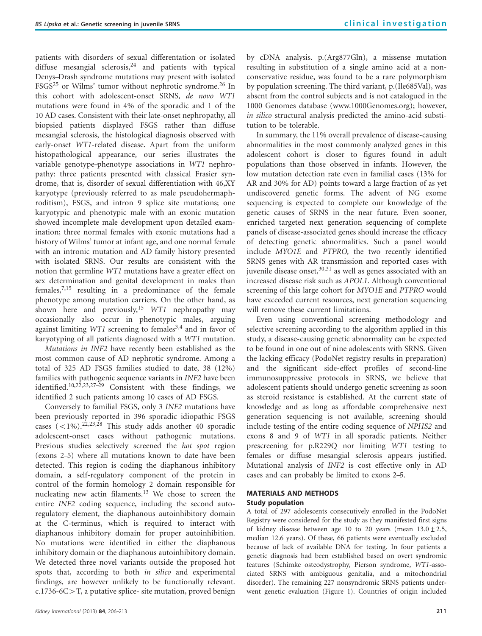patients with disorders of sexual differentation or isolated diffuse mesangial sclerosis,  $24$  and patients with typical Denys–Drash syndrome mutations may present with isolated FSGS<sup>[25](#page-7-0)</sup> or Wilms' tumor without nephrotic syndrome.<sup>26</sup> In this cohort with adolescent-onset SRNS, de novo WT1 mutations were found in 4% of the sporadic and 1 of the 10 AD cases. Consistent with their late-onset nephropathy, all biopsied patients displayed FSGS rather than diffuse mesangial sclerosis, the histological diagnosis observed with early-onset WT1-related disease. Apart from the uniform histopathological appearance, our series illustrates the variable genotype–phenotype associations in WT1 nephropathy: three patients presented with classical Frasier syndrome, that is, disorder of sexual differentiation with 46,XY karyotype (previously referred to as male pseudohermaphroditism), FSGS, and intron 9 splice site mutations; one karyotypic and phenotypic male with an exonic mutation showed incomplete male development upon detailed examination; three normal females with exonic mutations had a history of Wilms' tumor at infant age, and one normal female with an intronic mutation and AD family history presented with isolated SRNS. Our results are consistent with the notion that germline WT1 mutations have a greater effect on sex determination and genital development in males than females, $7,15$  resulting in a predominance of the female phenotype among mutation carriers. On the other hand, as shown here and previously,<sup>[15](#page-7-0)</sup> WT1 nephropathy may occasionally also occur in phenotypic males, arguing against limiting  $WT1$  screening to females<sup>[3,4](#page-6-0)</sup> and in favor of karyotyping of all patients diagnosed with a WT1 mutation.

Mutations in INF2 have recently been established as the most common cause of AD nephrotic syndrome. Among a total of 325 AD FSGS families studied to date, 38 (12%) families with pathogenic sequence variants in INF2 have been identified.<sup>10,22,23,27-29</sup> Consistent with these findings, we identified 2 such patients among 10 cases of AD FSGS.

Conversely to familial FSGS, only 3 INF2 mutations have been previously reported in 396 sporadic idiopathic FSGS cases  $(-1\%)$ .<sup>[22,23,28](#page-7-0)</sup> This study adds another 40 sporadic adolescent-onset cases without pathogenic mutations. Previous studies selectively screened the *hot spot* region (exons 2–5) where all mutations known to date have been detected. This region is coding the diaphanous inhibitory domain, a self-regulatory component of the protein in control of the formin homology 2 domain responsible for nucleating new actin filaments.<sup>[13](#page-7-0)</sup> We chose to screen the entire INF2 coding sequence, including the second autoregulatory element, the diaphanous autoinhibitory domain at the C-terminus, which is required to interact with diaphanous inhibitory domain for proper autoinhibition. No mutations were identified in either the diaphanous inhibitory domain or the diaphanous autoinhibitory domain. We detected three novel variants outside the proposed hot spots that, according to both *in silico* and experimental findings, are however unlikely to be functionally relevant.  $c.1736-6C>T$ , a putative splice- site mutation, proved benign by cDNA analysis. p.(Arg877Gln), a missense mutation resulting in substitution of a single amino acid at a nonconservative residue, was found to be a rare polymorphism by population screening. The third variant, p.(Ile685Val), was absent from the control subjects and is not catalogued in the 1000 Genomes database [\(www.1000Genomes.org](www.1000Genomes.org)); however, in silico structural analysis predicted the amino-acid substitution to be tolerable.

In summary, the 11% overall prevalence of disease-causing abnormalities in the most commonly analyzed genes in this adolescent cohort is closer to figures found in adult populations than those observed in infants. However, the low mutation detection rate even in familial cases (13% for AR and 30% for AD) points toward a large fraction of as yet undiscovered genetic forms. The advent of NG exome sequencing is expected to complete our knowledge of the genetic causes of SRNS in the near future. Even sooner, enriched targeted next generation sequencing of complete panels of disease-associated genes should increase the efficacy of detecting genetic abnormalities. Such a panel would include MYO1E and PTPRO, the two recently identified SRNS genes with AR transmission and reported cases with juvenile disease onset,  $30,31$  as well as genes associated with an increased disease risk such as APOL1. Although conventional screening of this large cohort for MYO1E and PTPRO would have exceeded current resources, next generation sequencing will remove these current limitations.

Even using conventional screening methodology and selective screening according to the algorithm applied in this study, a disease-causing genetic abnormality can be expected to be found in one out of nine adolescents with SRNS. Given the lacking efficacy (PodoNet registry results in preparation) and the significant side-effect profiles of second-line immunosuppressive protocols in SRNS, we believe that adolescent patients should undergo genetic screening as soon as steroid resistance is established. At the current state of knowledge and as long as affordable comprehensive next generation sequencing is not available, screening should include testing of the entire coding sequence of NPHS2 and exons 8 and 9 of WT1 in all sporadic patients. Neither prescreening for p.R229Q nor limiting WT1 testing to females or diffuse mesangial sclerosis appears justified. Mutational analysis of INF2 is cost effective only in AD cases and can probably be limited to exons 2–5.

# MATERIALS AND METHODS

#### Study population

A total of 297 adolescents consecutively enrolled in the PodoNet Registry were considered for the study as they manifested first signs of kidney disease between age 10 to 20 years (mean  $13.0 \pm 2.5$ , median 12.6 years). Of these, 66 patients were eventually excluded because of lack of available DNA for testing. In four patients a genetic diagnosis had been established based on overt syndromic features (Schimke osteodystrophy, Pierson syndrome, WT1-associated SRNS with ambiguous genitalia, and a mitochondrial disorder). The remaining 227 nonsyndromic SRNS patients underwent genetic evaluation [\(Figure 1\)](#page-6-0). Countries of origin included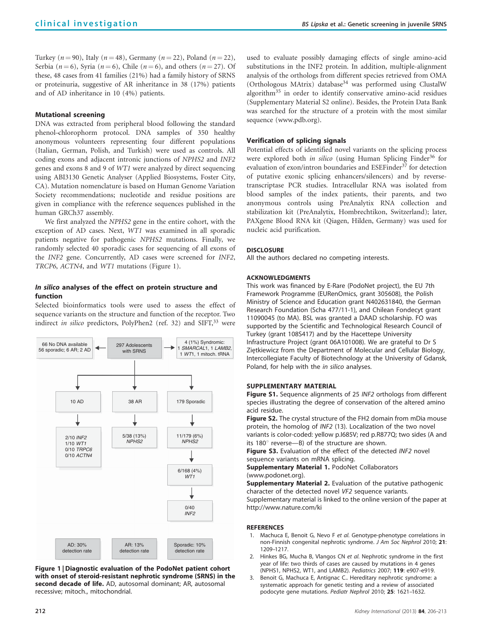<span id="page-6-0"></span>Turkey ( $n = 90$ ), Italy ( $n = 48$ ), Germany ( $n = 22$ ), Poland ( $n = 22$ ), Serbia ( $n = 6$ ), Syria ( $n = 6$ ), Chile ( $n = 6$ ), and others ( $n = 27$ ). Of these, 48 cases from 41 families (21%) had a family history of SRNS or proteinuria, suggestive of AR inheritance in 38 (17%) patients and of AD inheritance in 10 (4%) patients.

## Mutational screening

DNA was extracted from peripheral blood following the standard phenol–chlorophorm protocol. DNA samples of 350 healthy anonymous volunteers representing four different populations (Italian, German, Polish, and Turkish) were used as controls. All coding exons and adjacent intronic junctions of NPHS2 and INF2 genes and exons 8 and 9 of WT1 were analyzed by direct sequencing using ABI3130 Genetic Analyser (Applied Biosystems, Foster City, CA). Mutation nomenclature is based on Human Genome Variation Society recommendations; nucleotide and residue positions are given in compliance with the reference sequences published in the human GRCh37 assembly.

We first analyzed the NPHS2 gene in the entire cohort, with the exception of AD cases. Next, WT1 was examined in all sporadic patients negative for pathogenic NPHS2 mutations. Finally, we randomly selected 40 sporadic cases for sequencing of all exons of the INF2 gene. Concurrently, AD cases were screened for INF2, TRCP6, ACTN4, and WT1 mutations (Figure 1).

# In silico analyses of the effect on protein structure and function

Selected bioinformatics tools were used to assess the effect of sequence variants on the structure and function of the receptor. Two indirect in silico predictors, PolyPhen2 (ref. 32) and  $SIFT$ ,<sup>[33](#page-7-0)</sup> were



Figure 1 | Diagnostic evaluation of the PodoNet patient cohort with onset of steroid-resistant nephrotic syndrome (SRNS) in the second decade of life. AD, autosomal dominant; AR, autosomal recessive; mitoch., mitochondrial.

used to evaluate possibly damaging effects of single amino-acid substitutions in the INF2 protein. In addition, multiple-alignment analysis of the orthologs from different species retrieved from OMA (Orthologous MAtrix) database<sup>[34](#page-7-0)</sup> was performed using ClustalW algorithm<sup>[35](#page-7-0)</sup> in order to identify conservative amino-acid residues (Supplementary Material S2 online). Besides, the Protein Data Bank was searched for the structure of a protein with the most similar sequence ([www.pdb.org\)](www.pdb.org).

## Verification of splicing signals

Potential effects of identified novel variants on the splicing process were explored both in silico (using Human Splicing Finder<sup>[36](#page-7-0)</sup> for evaluation of exon/intron boundaries and ESEFinder<sup>[37](#page-7-0)</sup> for detection of putative exonic splicing enhancers/silencers) and by reversetranscriptase PCR studies. Intracellular RNA was isolated from blood samples of the index patients, their parents, and two anonymous controls using PreAnalytix RNA collection and stabilization kit (PreAnalytix, Hombrechtikon, Switzerland); later, PAXgene Blood RNA kit (Qiagen, Hilden, Germany) was used for nucleic acid purification.

#### **DISCLOSURE**

All the authors declared no competing interests.

## ACKNOWLEDGMENTS

This work was financed by E-Rare (PodoNet project), the EU 7th Framework Programme (EURenOmics, grant 305608), the Polish Ministry of Science and Education grant N402631840, the German Research Foundation (Scha 477/11-1), and Chilean Fondecyt grant 11090045 (to MA). BSL was granted a DAAD scholarship. FO was supported by the Scientific and Technological Research Council of Turkey (grant 108S417) and by the Hacettepe University Infrastructure Project (grant 06A101008). We are grateful to Dr S Ziętkiewicz from the Department of Molecular and Cellular Biology, Intercollegiate Faculty of Biotechnology at the University of Gdansk, Poland, for help with the in silico analyses.

#### SUPPLEMENTARY MATERIAL

Figure S1. Sequence alignments of 25 INF2 orthologs from different species illustrating the degree of conservation of the altered amino acid residue.

Figure S2. The crystal structure of the FH2 domain from mDia mouse protein, the homolog of INF2 (13). Localization of the two novel variants is color-coded: yellow p.I685V; red p.R877Q; two sides (A and its  $180^\circ$  reverse—B) of the structure are shown.

Figure S3. Evaluation of the effect of the detected INF2 novel sequence variants on mRNA splicing.

Supplementary Material 1. PodoNet Collaborators (www.podonet.org).

Supplementary Material 2. Evaluation of the putative pathogenic character of the detected novel VF2 sequence variants. Supplementary material is linked to the online version of the paper at <http://www.nature.com/ki>

#### REFERENCES

- 1. Machuca E, Benoit G, Nevo F et al. Genotype-phenotype correlations in non-Finnish congenital nephrotic syndrome. J Am Soc Nephrol 2010; 21: 1209–1217.
- 2. Hinkes BG, Mucha B, Vlangos CN et al. Nephrotic syndrome in the first year of life: two thirds of cases are caused by mutations in 4 genes (NPHS1, NPHS2, WT1, and LAMB2). Pediatrics 2007; 119: e907–e919.
- 3. Benoit G, Machuca E, Antignac C.. Hereditary nephrotic syndrome: a systematic approach for genetic testing and a review of associated podocyte gene mutations. Pediatr Nephrol 2010; 25: 1621–1632.